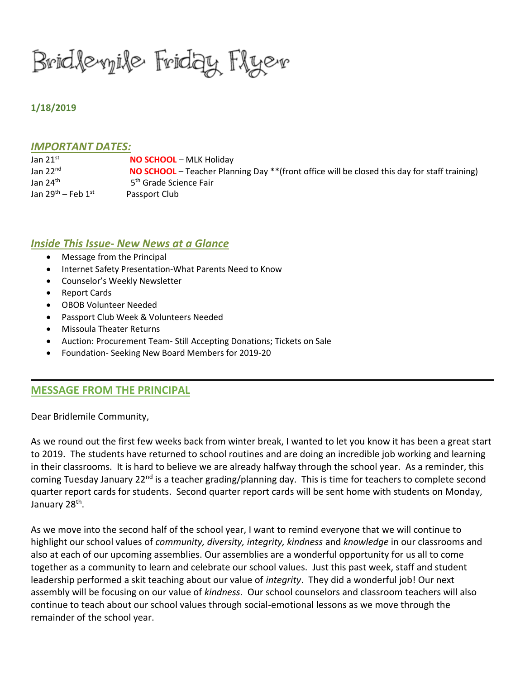Bridlewile Friday Flyer

# **1/18/2019**

### *IMPORTANT DATES:*

| Jan $21^{st}$                | <b>NO SCHOOL</b> – MLK Holiday                                                                |
|------------------------------|-----------------------------------------------------------------------------------------------|
| Jan $22nd$                   | NO SCHOOL – Teacher Planning Day ** (front office will be closed this day for staff training) |
| Jan 24 <sup>th</sup>         | 5 <sup>th</sup> Grade Science Fair                                                            |
| Jan $29^{th}$ – Feb $1^{st}$ | Passport Club                                                                                 |

## *Inside This Issue- New News at a Glance*

- Message from the Principal
- Internet Safety Presentation-What Parents Need to Know
- Counselor's Weekly Newsletter
- Report Cards
- OBOB Volunteer Needed
- Passport Club Week & Volunteers Needed
- Missoula Theater Returns
- Auction: Procurement Team- Still Accepting Donations; Tickets on Sale
- Foundation- Seeking New Board Members for 2019-20

# **MESSAGE FROM THE PRINCIPAL**

Dear Bridlemile Community,

As we round out the first few weeks back from winter break, I wanted to let you know it has been a great start to 2019. The students have returned to school routines and are doing an incredible job working and learning in their classrooms. It is hard to believe we are already halfway through the school year. As a reminder, this coming Tuesday January 22<sup>nd</sup> is a teacher grading/planning day. This is time for teachers to complete second quarter report cards for students. Second quarter report cards will be sent home with students on Monday, January 28<sup>th</sup>.

As we move into the second half of the school year, I want to remind everyone that we will continue to highlight our school values of *community, diversity, integrity, kindness* and *knowledge* in our classrooms and also at each of our upcoming assemblies. Our assemblies are a wonderful opportunity for us all to come together as a community to learn and celebrate our school values. Just this past week, staff and student leadership performed a skit teaching about our value of *integrity*. They did a wonderful job! Our next assembly will be focusing on our value of *kindness*. Our school counselors and classroom teachers will also continue to teach about our school values through social-emotional lessons as we move through the remainder of the school year.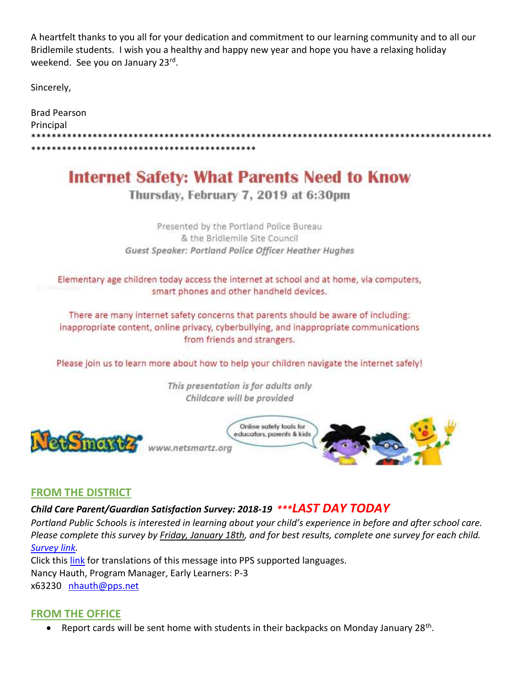A heartfelt thanks to you all for your dedication and commitment to our learning community and to all our Bridlemile students. I wish you a healthy and happy new year and hope you have a relaxing holiday weekend. See you on January 23rd.

Sincerely,

| Brad Pearson |
|--------------|
| Principal    |
|              |
|              |

# **Internet Safety: What Parents Need to Know**

# Thursday, February 7, 2019 at 6:30pm

Presented by the Portland Police Bureau & the Bridlemile Site Council Guest Speaker: Portland Police Officer Heather Hughes

Elementary age children today access the internet at school and at home, via computers, smart phones and other handheld devices.

There are many internet safety concerns that parents should be aware of including: inappropriate content, online privacy, cyberbullying, and inappropriate communications from friends and strangers.

Please join us to learn more about how to help your children navigate the internet safely!

This presentation is for adults only Childcare will be provided



# **FROM THE DISTRICT**

# *Child Care Parent/Guardian Satisfaction Survey: 2018-19 \*\*\*LAST DAY TODAY*

*Portland Public Schools is interested in learning about your child's experience in before and after school care. Please complete this survey by Friday, January 18th, and for best results, complete one survey for each child. [Survey link.](https://docs.google.com/forms/d/e/1FAIpQLScHhnFtOJiZfPAa9O3bXByrHUfFbrypCa88PYF6l5hSWbYjgg/viewform)*

Click this [link](https://docs.google.com/document/d/1kb30gFDEQghVpW2YEQvIw9aorCExAyZSWQqvnEDHVYE/edit?usp=sharing) for translations of this message into PPS supported languages. Nancy Hauth, Program Manager, Early Learners: P-3 x63230 [nhauth@pps.net](mailto:nhauth@pps.net)

# **FROM THE OFFICE**

• Report cards will be sent home with students in their backpacks on Monday January 28<sup>th</sup>.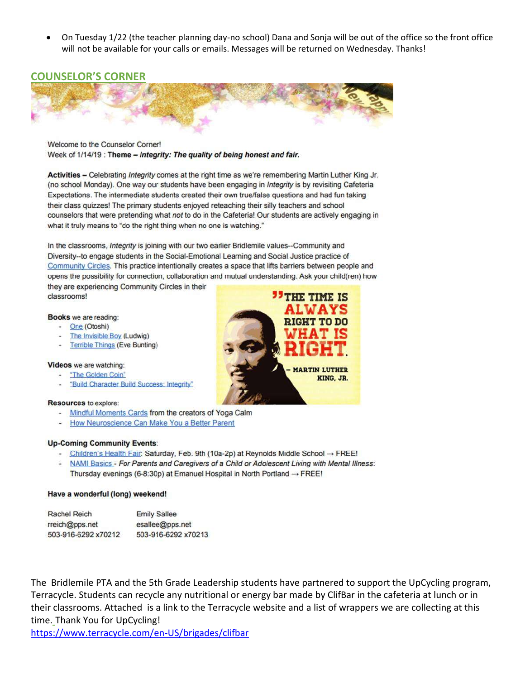• On Tuesday 1/22 (the teacher planning day-no school) Dana and Sonja will be out of the office so the front office will not be available for your calls or emails. Messages will be returned on Wednesday. Thanks!

## **COUNSELOR'S CORNER**



Welcome to the Counselor Corner! Week of 1/14/19 : Theme - Integrity: The quality of being honest and fair.

Activities - Celebrating Integrity comes at the right time as we're remembering Martin Luther King Jr. (no school Monday). One way our students have been engaging in Integrity is by revisiting Cafeteria Expectations. The intermediate students created their own true/false questions and had fun taking their class quizzes! The primary students enjoyed reteaching their silly teachers and school counselors that were pretending what not to do in the Cafeteria! Our students are actively engaging in what it truly means to "do the right thing when no one is watching."

In the classrooms, Integrity is joining with our two earlier Bridlemile values--Community and Diversity--to engage students in the Social-Emotional Learning and Social Justice practice of Community Circles. This practice intentionally creates a space that lifts barriers between people and opens the possibility for connection, collaboration and mutual understanding. Ask your child(ren) how

they are experiencing Community Circles in their classrooms!

#### Books we are reading:

- One (Otoshi)
- The Invisible Boy (Ludwig)
- Terrible Things (Eve Bunting)

#### Videos we are watching:

- "The Golden Coin"
- "Build Character Build Success: Integrity"

#### **Resources** to explore:

- Mindful Moments Cards from the creators of Yoga Calm
- How Neuroscience Can Make You a Better Parent

#### **Up-Coming Community Events:**

- Children's Health Fair: Saturday, Feb. 9th (10a-2p) at Reynolds Middle School → FREE!
- NAMI Basics For Parents and Caregivers of a Child or Adolescent Living with Mental Illness: Thursday evenings (6-8:30p) at Emanuel Hospital in North Portland  $\rightarrow$  FREE!

#### Have a wonderful (long) weekend!

| <b>Rachel Reich</b> | <b>Emily Sallee</b> |
|---------------------|---------------------|
| rreich@pps.net      | esallee@pps.net     |
| 503-916-6292 x70212 | 503-916-6292 x70213 |

The Bridlemile PTA and the 5th Grade Leadership students have partnered to support the UpCycling program, Terracycle. Students can recycle any nutritional or energy bar made by ClifBar in the cafeteria at lunch or in their classrooms. Attached is a link to the Terracycle website and a list of wrappers we are collecting at this time. Thank You for UpCycling!

<https://www.terracycle.com/en-US/brigades/clifbar>

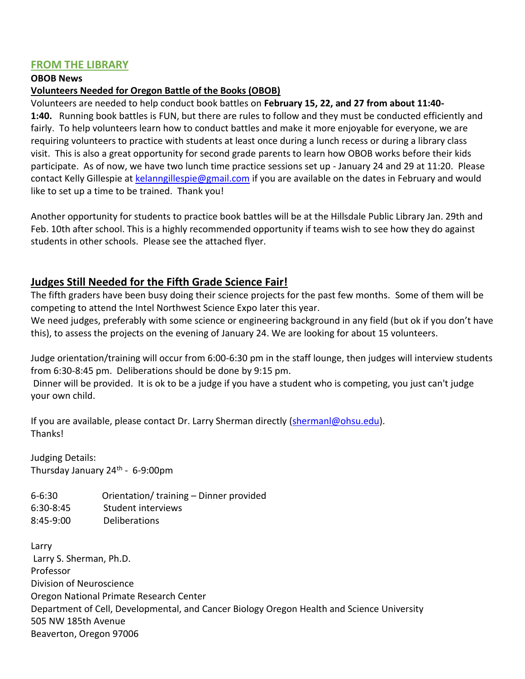# **FROM THE LIBRARY**

## **OBOB News**

# **Volunteers Needed for Oregon Battle of the Books (OBOB)**

Volunteers are needed to help conduct book battles on **February 15, 22, and 27 from about 11:40- 1:40.** Running book battles is FUN, but there are rules to follow and they must be conducted efficiently and fairly. To help volunteers learn how to conduct battles and make it more enjoyable for everyone, we are requiring volunteers to practice with students at least once during a lunch recess or during a library class visit. This is also a great opportunity for second grade parents to learn how OBOB works before their kids participate. As of now, we have two lunch time practice sessions set up - January 24 and 29 at 11:20. Please contact Kelly Gillespie at [kelanngillespie@gmail.com](mailto:kelanngillespie@gmail.com) if you are available on the dates in February and would like to set up a time to be trained. Thank you!

Another opportunity for students to practice book battles will be at the Hillsdale Public Library Jan. 29th and Feb. 10th after school. This is a highly recommended opportunity if teams wish to see how they do against students in other schools. Please see the attached flyer.

# **Judges Still Needed for the Fifth Grade Science Fair!**

The fifth graders have been busy doing their science projects for the past few months. Some of them will be competing to attend the Intel Northwest Science Expo later this year.

We need judges, preferably with some science or engineering background in any field (but ok if you don't have this), to assess the projects on the evening of January 24. We are looking for about 15 volunteers.

Judge orientation/training will occur from 6:00-6:30 pm in the staff lounge, then judges will interview students from 6:30-8:45 pm. Deliberations should be done by 9:15 pm.

Dinner will be provided. It is ok to be a judge if you have a student who is competing, you just can't judge your own child.

If you are available, please contact Dr. Larry Sherman directly [\(shermanl@ohsu.edu\)](mailto:shermanl@ohsu.edu). **Thanks!** 

Judging Details: Thursday January 24<sup>th</sup> - 6-9:00pm

6-6:30 Orientation/ training – Dinner provided 6:30-8:45 Student interviews 8:45-9:00 Deliberations

Larry Larry S. Sherman, Ph.D. Professor Division of Neuroscience Oregon National Primate Research Center Department of Cell, Developmental, and Cancer Biology Oregon Health and Science University 505 NW 185th Avenue Beaverton, Oregon 97006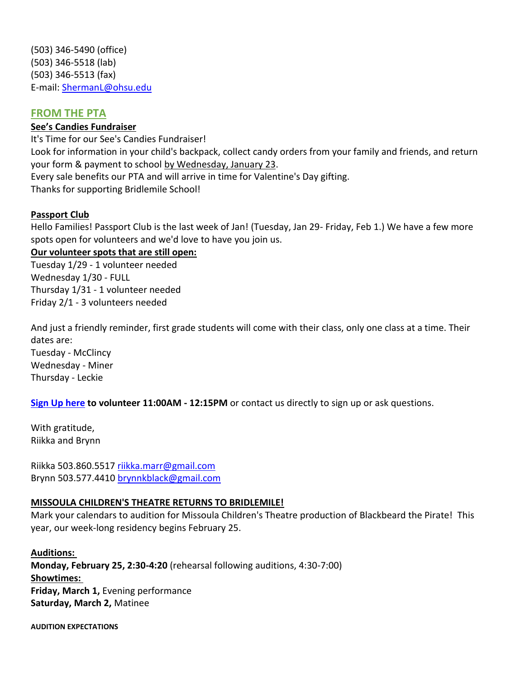(503) 346-5490 (office) (503) 346-5518 (lab) (503) 346-5513 (fax) E-mail: [ShermanL@ohsu.edu](mailto:ShermanL@ohsu.edu)

# **FROM THE PTA**

# **See's Candies Fundraiser**

It's Time for our See's Candies Fundraiser! Look for information in your child's backpack, collect candy orders from your family and friends, and return your form & payment to school by Wednesday, January 23. Every sale benefits our PTA and will arrive in time for Valentine's Day gifting. Thanks for supporting Bridlemile School!

# **Passport Club**

Hello Families! Passport Club is the last week of Jan! (Tuesday, Jan 29- Friday, Feb 1.) We have a few more spots open for volunteers and we'd love to have you join us.

**Our volunteer spots that are still open:** Tuesday 1/29 - 1 volunteer needed Wednesday 1/30 - FULL Thursday 1/31 - 1 volunteer needed Friday 2/1 - 3 volunteers needed

And just a friendly reminder, first grade students will come with their class, only one class at a time. Their dates are: Tuesday - McClincy Wednesday - Miner Thursday - Leckie

**[Sign Up here](http://signup.com/go/e5n5fH) to volunteer 11:00AM - 12:15PM** or contact us directly to sign up or ask questions.

With gratitude, Riikka and Brynn

Riikka 503.860.5517 [riikka.marr@gmail.com](mailto:riikka.marr@gmail.com) Brynn 503.577.4410 [brynnkblack@gmail.com](mailto:brynnkblack@gmail.com)

## **MISSOULA CHILDREN'S THEATRE RETURNS TO BRIDLEMILE!**

Mark your calendars to audition for Missoula Children's Theatre production of Blackbeard the Pirate! This year, our week-long residency begins February 25.

**Auditions: Monday, February 25, 2:30-4:20** (rehearsal following auditions, 4:30-7:00) **Showtimes: Friday, March 1,** Evening performance **Saturday, March 2,** Matinee

**AUDITION EXPECTATIONS**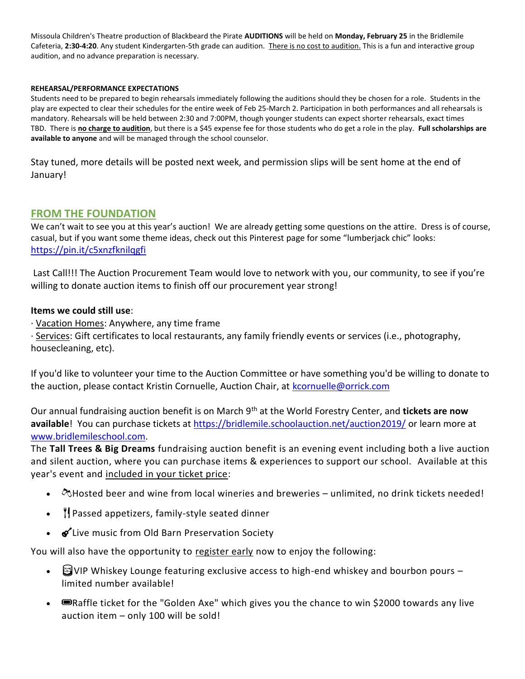Missoula Children's Theatre production of Blackbeard the Pirate **AUDITIONS** will be held on **Monday, February 25** in the Bridlemile Cafeteria, **2:30-4:20**. Any student Kindergarten-5th grade can audition. There is no cost to audition. This is a fun and interactive group audition, and no advance preparation is necessary.

#### **REHEARSAL/PERFORMANCE EXPECTATIONS**

Students need to be prepared to begin rehearsals immediately following the auditions should they be chosen for a role. Students in the play are expected to clear their schedules for the entire week of Feb 25-March 2. Participation in both performances and all rehearsals is mandatory. Rehearsals will be held between 2:30 and 7:00PM, though younger students can expect shorter rehearsals, exact times TBD. There is **no charge to audition**, but there is a \$45 expense fee for those students who do get a role in the play. **Full scholarships are available to anyone** and will be managed through the school counselor.

Stay tuned, more details will be posted next week, and permission slips will be sent home at the end of January!

# **FROM THE FOUNDATION**

We can't wait to see you at this year's auction! We are already getting some questions on the attire. Dress is of course, casual, but if you want some theme ideas, check out this Pinterest page for some "lumberjack chic" looks: <https://pin.it/c5xnzfknilqgfi>

Last Call!!! The Auction Procurement Team would love to network with you, our community, to see if you're willing to donate auction items to finish off our procurement year strong!

### **Items we could still use**:

· Vacation Homes: Anywhere, any time frame

· Services: Gift certificates to local restaurants, any family friendly events or services (i.e., photography, housecleaning, etc).

If you'd like to volunteer your time to the Auction Committee or have something you'd be willing to donate to the auction, please contact Kristin Cornuelle, Auction Chair, at [kcornuelle@orrick.com](mailto:kcornuelle@orrick.com)

Our annual fundraising auction benefit is on March 9th at the World Forestry Center, and **tickets are now**  available! You can purchase tickets at<https://bridlemile.schoolauction.net/auction2019/> or learn more at [www.bridlemileschool.com.](http://www.bridlemileschool.com/)

The **Tall Trees & Big Dreams** fundraising auction benefit is an evening event including both a live auction and silent auction, where you can purchase items & experiences to support our school. Available at this year's event and included in your ticket price:

- $\Diamond$ Hosted beer and wine from local wineries and breweries unlimited, no drink tickets needed!
- Il Passed appetizers, family-style seated dinner
- $\bullet$  Live music from Old Barn Preservation Society

You will also have the opportunity to register early now to enjoy the following:

- $\Box$  VIP Whiskey Lounge featuring exclusive access to high-end whiskey and bourbon pours limited number available!
- Exaffle ticket for the "Golden Axe" which gives you the chance to win \$2000 towards any live auction item – only 100 will be sold!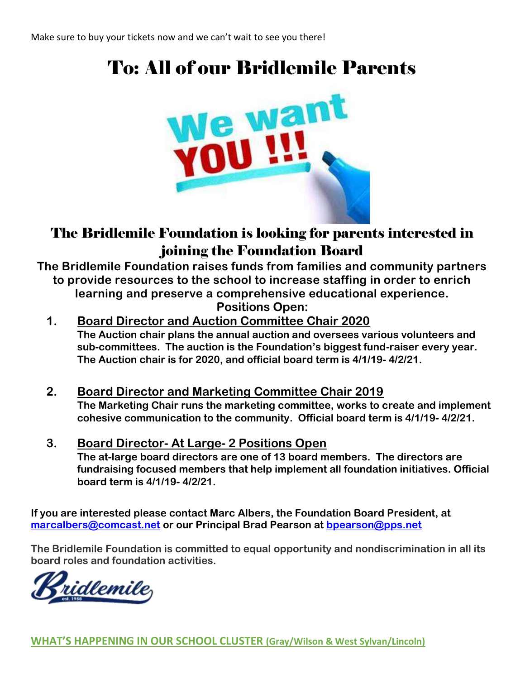# To: All of our Bridlemile Parents



# The Bridlemile Foundation is looking for parents interested in joining the Foundation Board

**The Bridlemile Foundation raises funds from families and community partners to provide resources to the school to increase staffing in order to enrich learning and preserve a comprehensive educational experience. Positions Open:**

- **1. Board Director and Auction Committee Chair 2020 The Auction chair plans the annual auction and oversees various volunteers and sub-committees. The auction is the Foundation's biggest fund-raiser every year. The Auction chair is for 2020, and official board term is 4/1/19- 4/2/21.**
- **2. Board Director and Marketing Committee Chair 2019 The Marketing Chair runs the marketing committee, works to create and implement cohesive communication to the community. Official board term is 4/1/19- 4/2/21.**
- **3. Board Director- At Large- 2 Positions Open The at-large board directors are one of 13 board members. The directors are fundraising focused members that help implement all foundation initiatives. Official board term is 4/1/19- 4/2/21.**

**If you are interested please contact Marc Albers, the Foundation Board President, at [marcalbers@comcast.net](mailto:marcalbers@comcast.net) or our Principal Brad Pearson at [bpearson@pps.net](mailto:bpearson@pps.net)**

**The Bridlemile Foundation is committed to equal opportunity and nondiscrimination in all its board roles and foundation activities.**

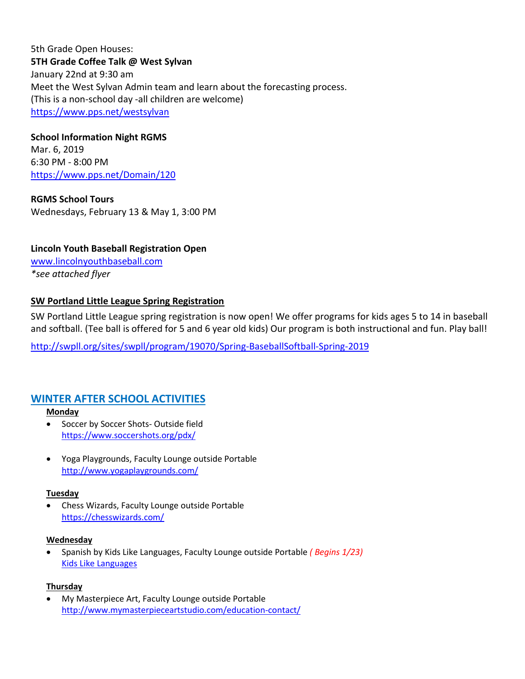5th Grade Open Houses: **5TH Grade Coffee Talk @ West Sylvan** January 22nd at 9:30 am Meet the West Sylvan Admin team and learn about the forecasting process. (This is a non-school day -all children are welcome) <https://www.pps.net/westsylvan>

## **School Information Night RGMS**

Mar. 6, 2019 6:30 PM - 8:00 PM <https://www.pps.net/Domain/120>

**RGMS School Tours** Wednesdays, February 13 & May 1, 3:00 PM

**Lincoln Youth Baseball Registration Open** [www.lincolnyouthbaseball.com](http://www.lincolnyouthbaseball.com/)

*\*see attached flyer*

## **[SW Portland Little League Spring Registration](https://nextdoor.com/news_feed/?post=73749094)**

SW Portland Little League spring registration is now open! We offer programs for kids ages 5 to 14 in baseball and softball. (Tee ball is offered for 5 and 6 year old kids) Our program is both instructional and fun. Play ball!

<http://swpll.org/sites/swpll/program/19070/Spring-BaseballSoftball-Spring-2019>

# **WINTER AFTER SCHOOL ACTIVITIES**

#### **Monday**

- Soccer by Soccer Shots- Outside field <https://www.soccershots.org/pdx/>
- Yoga Playgrounds, Faculty Lounge outside Portable <http://www.yogaplaygrounds.com/>

#### **Tuesday**

• Chess Wizards, Faculty Lounge outside Portable <https://chesswizards.com/>

#### **Wednesday**

• Spanish by Kids Like Languages, Faculty Lounge outside Portable *( Begins 1/23)* [Kids Like Languages](http://www.kidslikelanguages.com/)

#### **Thursday**

• My Masterpiece Art, Faculty Lounge outside Portable <http://www.mymasterpieceartstudio.com/education-contact/>